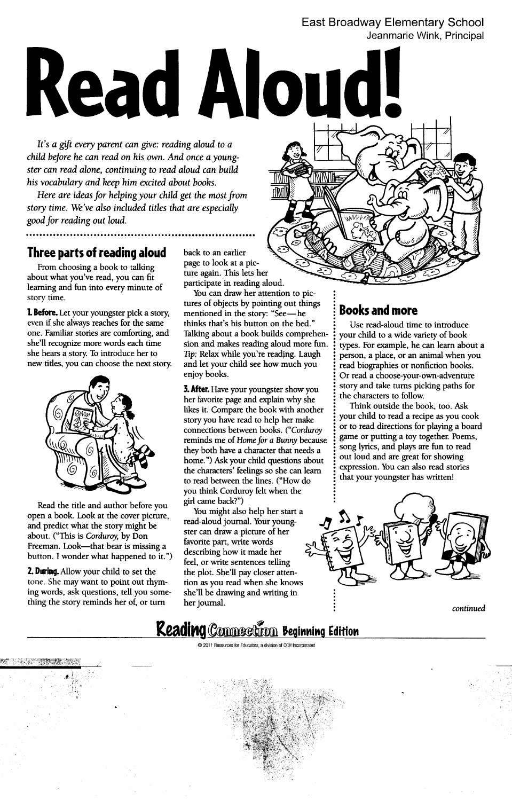### East Broadway Elementary School Jeanmarie Wink, Principal

# **Read Aloud!**

It's a gift every parent can give: reading aloud to a child before he can read on his own. And once a youngster can read alone, continuing to read aloud can build his vocabulary and keep him excited about books.

Here are ideas for helping your child get the most from story time. We've also included titles that are especially good for reading out loud.

## **Three parts of reading aloud** back to an earlier

From choosing a book to talking ... page to look at a pic-<br>ture again. This lets her about what you've read, you can fit learning and fun into every minute of story time.

even if she always reaches for the same thinks that's his button on the bed."  $\vdots$  Use read-aloud time to introduce one. Familiar stories are comforting, and Talking about a book builds comprehen-  $\frac{1}{2}$  your child to a wide variety of book she'll recognize more words each time sion and makes reading aloud more fun.  $\frac{1}{2}$  types. she hears a story. To introduce her to Tip: Relax while you're reading. Laugh  $\cdot$  person, a place, or an animal when you



Read the title and author before you open a book. Look at the cover picture, and predict what the story might be about. ("This is Corduroy, by Don Freeman. Look—that bear is missing a favorite part, write words<br>hytten I worder what bear is missing a describing how it made her button. I wonder what happened to it.")

2. During. Allow your child to set the tone. She may want to point out rhym- tion as you read when she knows ing words, ask questions, tell you some- she'll be drawing and writing in : thing the story reminds her of, or turn her journal.

 $t$ 

ب<br>1

.

participate in reading aloud.

You can draw her attention to pictures of objects by pointing out things<br>mentioned in the story: "See—he **1. Before.** Let your youngster pick a story, mentioned in the story: "See — he  $\cdot$  **Books and more** sion and makes reading aloud more fun. : types. For example, he can learn about a new titles, you can choose the next story. and let your child see how much you : read biographies or nonfiction books.

> her favorite page and explain why she  $\cdot$  the characters to follow.  $\frac{1}{2}$  likes it. Compare the book with another  $\frac{1}{2}$  Think outside the book, too. Ask story you have read to help her make : your child to read a recipe as you cook connections between books. ("Corduroy:  $\frac{1}{2}$  or to read directions for playing a board reminds me of Home for a Bunny because: game or putting a toy together. Poems, they both have a character that needs a : song lyrics, and plays are fun to read home.") Ask your child questions about:  $\frac{1}{2}$  out loud and are great for showing the characters' feelings so she can learn:  $\frac{1}{2}$  expression. You can also read stories to read between the lines. ("How do : that your youngster has written! you think Corduroy felt when the girl came back?")

You might also help her start a read-aloud journal. Your youngster can draw a picture of her feel, or write sentences telling<br>the plot. She'll pay closer atten-

enjoy books.  $\cdot$   $\cdot$  Or read a choose-your-own-adventure **3. After.** Have your youngster show you  $\cdot$  is story and take turns picking paths for



: continued

## **Reading Connection Beginning Edition**

~ -

 $\odot$  2011 Resources for Educators, a division of CCH Incorporated

 $\mathcal{L}(\mathcal{L})$  is a contract of the contract of the contract of the contract of the contract of the contract of the contract of the contract of the contract of the contract of the contract of the contract of the contract